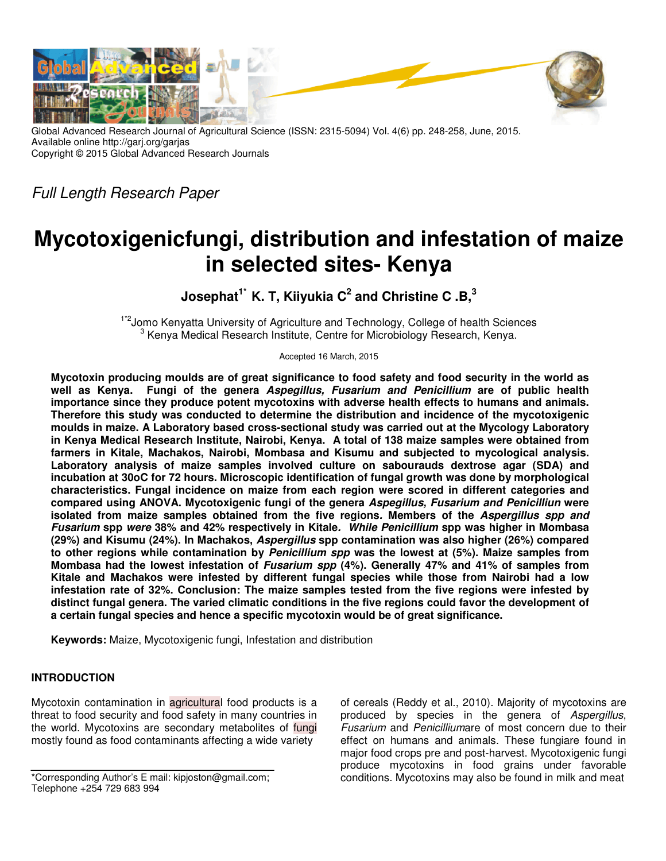

Global Advanced Research Journal of Agricultural Science (ISSN: 2315-5094) Vol. 4(6) pp. 248-258, June, 2015. Available online http://garj.org/garjas Copyright © 2015 Global Advanced Research Journals

Full Length Research Paper

# **Mycotoxigenicfungi, distribution and infestation of maize in selected sites- Kenya**

**Josephat1\* K. T, Kiiyukia C<sup>2</sup> and Christine C .B,<sup>3</sup>**

<sup>1\*2</sup> Jomo Kenyatta University of Agriculture and Technology, College of health Sciences <sup>3</sup> Kenya Medical Research Institute, Centre for Microbiology Research, Kenya.

Accepted 16 March, 2015

**Mycotoxin producing moulds are of great significance to food safety and food security in the world as well as Kenya. Fungi of the genera Aspegillus, Fusarium and Penicillium are of public health importance since they produce potent mycotoxins with adverse health effects to humans and animals. Therefore this study was conducted to determine the distribution and incidence of the mycotoxigenic moulds in maize. A Laboratory based cross-sectional study was carried out at the Mycology Laboratory in Kenya Medical Research Institute, Nairobi, Kenya. A total of 138 maize samples were obtained from farmers in Kitale, Machakos, Nairobi, Mombasa and Kisumu and subjected to mycological analysis. Laboratory analysis of maize samples involved culture on sabourauds dextrose agar (SDA) and incubation at 30oC for 72 hours. Microscopic identification of fungal growth was done by morphological characteristics. Fungal incidence on maize from each region were scored in different categories and compared using ANOVA. Mycotoxigenic fungi of the genera Aspegillus, Fusarium and Penicilliun were isolated from maize samples obtained from the five regions. Members of the Aspergillus spp and Fusarium spp were 38% and 42% respectively in Kitale. While Penicillium spp was higher in Mombasa (29%) and Kisumu (24%). In Machakos, Aspergillus spp contamination was also higher (26%) compared to other regions while contamination by Penicillium spp was the lowest at (5%). Maize samples from Mombasa had the lowest infestation of Fusarium spp (4%). Generally 47% and 41% of samples from Kitale and Machakos were infested by different fungal species while those from Nairobi had a low infestation rate of 32%. Conclusion: The maize samples tested from the five regions were infested by distinct fungal genera. The varied climatic conditions in the five regions could favor the development of a certain fungal species and hence a specific mycotoxin would be of great significance.** 

**Keywords:** Maize, Mycotoxigenic fungi, Infestation and distribution

## **INTRODUCTION**

Mycotoxin contamination in agricultural food products is a threat to food security and food safety in many countries in the world. Mycotoxins are secondary metabolites of fungi mostly found as food contaminants affecting a wide variety

\*Corresponding Author's E mail: kipjoston@gmail.com; Telephone +254 729 683 994

of cereals (Reddy et al., 2010). Majority of mycotoxins are produced by species in the genera of Aspergillus, Fusarium and Penicilliumare of most concern due to their effect on humans and animals. These fungiare found in major food crops pre and post-harvest. Mycotoxigenic fungi produce mycotoxins in food grains under favorable conditions. Mycotoxins may also be found in milk and meat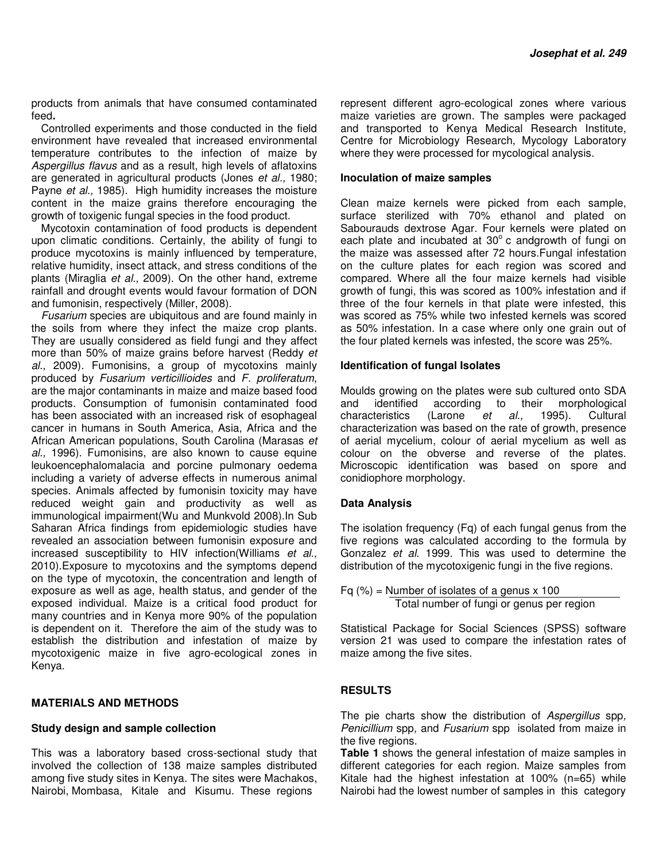products from animals that have consumed contaminated feed**.** 

Controlled experiments and those conducted in the field environment have revealed that increased environmental temperature contributes to the infection of maize by Aspergillus flavus and as a result, high levels of aflatoxins are generated in agricultural products (Jones et al., 1980; Payne et al., 1985). High humidity increases the moisture content in the maize grains therefore encouraging the growth of toxigenic fungal species in the food product.

Mycotoxin contamination of food products is dependent upon climatic conditions. Certainly, the ability of fungi to produce mycotoxins is mainly influenced by temperature, relative humidity, insect attack, and stress conditions of the plants (Miraglia et al., 2009). On the other hand, extreme rainfall and drought events would favour formation of DON and fumonisin, respectively (Miller, 2008).

Fusarium species are ubiquitous and are found mainly in the soils from where they infect the maize crop plants. They are usually considered as field fungi and they affect more than 50% of maize grains before harvest (Reddy et al., 2009). Fumonisins, a group of mycotoxins mainly produced by Fusarium verticillioides and F. proliferatum, are the major contaminants in maize and maize based food products. Consumption of fumonisin contaminated food has been associated with an increased risk of esophageal cancer in humans in South America, Asia, Africa and the African American populations, South Carolina (Marasas et al., 1996). Fumonisins, are also known to cause equine leukoencephalomalacia and porcine pulmonary oedema including a variety of adverse effects in numerous animal species. Animals affected by fumonisin toxicity may have reduced weight gain and productivity as well as immunological impairment(Wu and Munkvold 2008).In Sub Saharan Africa findings from epidemiologic studies have revealed an association between fumonisin exposure and increased susceptibility to HIV infection(Williams et al., 2010).Exposure to mycotoxins and the symptoms depend on the type of mycotoxin, the concentration and length of exposure as well as age, health status, and gender of the exposed individual. Maize is a critical food product for many countries and in Kenya more 90% of the population is dependent on it. Therefore the aim of the study was to establish the distribution and infestation of maize by mycotoxigenic maize in five agro-ecological zones in Kenya.

#### **MATERIALS AND METHODS**

#### **Study design and sample collection**

This was a laboratory based cross-sectional study that involved the collection of 138 maize samples distributed among five study sites in Kenya. The sites were Machakos, Nairobi, Mombasa, Kitale and Kisumu. These regions

represent different agro-ecological zones where various maize varieties are grown. The samples were packaged and transported to Kenya Medical Research Institute, Centre for Microbiology Research, Mycology Laboratory where they were processed for mycological analysis.

#### **Inoculation of maize samples**

Clean maize kernels were picked from each sample, surface sterilized with 70% ethanol and plated on Sabourauds dextrose Agar. Four kernels were plated on each plate and incubated at 30° c andgrowth of fungi on the maize was assessed after 72 hours.Fungal infestation on the culture plates for each region was scored and compared. Where all the four maize kernels had visible growth of fungi, this was scored as 100% infestation and if three of the four kernels in that plate were infested, this was scored as 75% while two infested kernels was scored as 50% infestation. In a case where only one grain out of the four plated kernels was infested, the score was 25%.

#### **Identification of fungal Isolates**

Moulds growing on the plates were sub cultured onto SDA and identified according to their morphological characteristics (Larone et al., 1995). Cultural characterization was based on the rate of growth, presence of aerial mycelium, colour of aerial mycelium as well as colour on the obverse and reverse of the plates. Microscopic identification was based on spore and conidiophore morphology.

#### **Data Analysis**

The isolation frequency (Fq) of each fungal genus from the five regions was calculated according to the formula by Gonzalez et al. 1999. This was used to determine the distribution of the mycotoxigenic fungi in the five regions.

Fq  $(\%)$  = Number of isolates of a genus x 100 Total number of fungi or genus per region

Statistical Package for Social Sciences (SPSS) software version 21 was used to compare the infestation rates of maize among the five sites.

#### **RESULTS**

The pie charts show the distribution of Aspergillus spp, Penicillium spp, and Fusarium spp isolated from maize in the five regions.

**Table 1** shows the general infestation of maize samples in different categories for each region. Maize samples from Kitale had the highest infestation at 100% (n=65) while Nairobi had the lowest number of samples in this category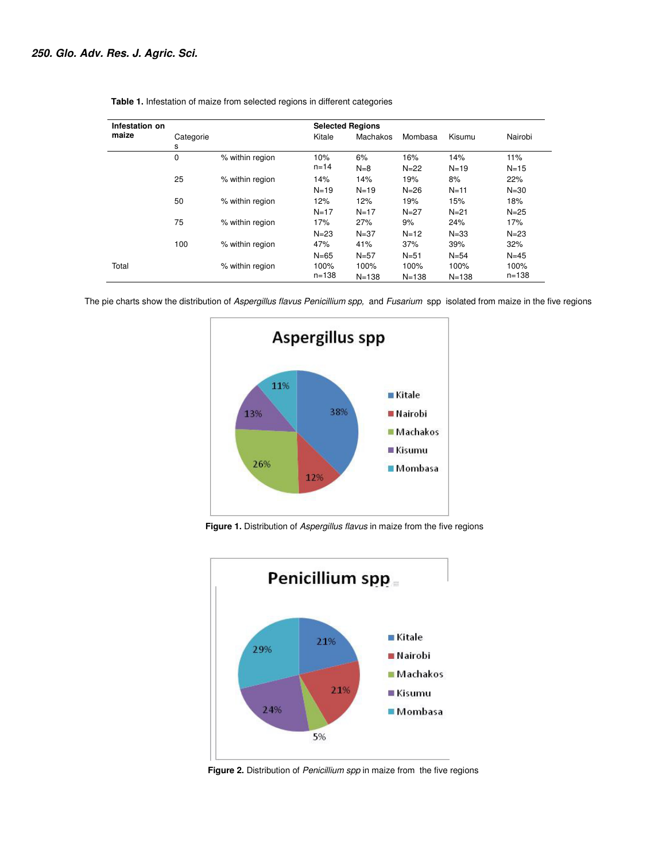| Infestation on<br>maize | <b>Selected Regions</b> |                 |           |           |           |           |           |
|-------------------------|-------------------------|-----------------|-----------|-----------|-----------|-----------|-----------|
|                         | Categorie<br>s          |                 | Kitale    | Machakos  | Mombasa   | Kisumu    | Nairobi   |
|                         | 0                       | % within region | 10%       | 6%        | 16%       | 14%       | 11%       |
|                         |                         |                 | $n = 14$  | $N=8$     | $N = 22$  | $N = 19$  | $N=15$    |
|                         | 25                      | % within region | 14%       | 14%       | 19%       | 8%        | 22%       |
|                         |                         |                 | $N = 19$  | $N = 19$  | $N=26$    | $N = 11$  | $N = 30$  |
|                         | 50                      | % within region | 12%       | 12%       | 19%       | 15%       | 18%       |
|                         |                         |                 | $N = 17$  | $N = 17$  | $N = 27$  | $N = 21$  | $N = 25$  |
|                         | 75                      | % within region | 17%       | 27%       | 9%        | 24%       | 17%       |
|                         |                         |                 | $N = 23$  | $N = 37$  | $N = 12$  | $N = 33$  | $N = 23$  |
|                         | 100                     | % within region | 47%       | 41%       | 37%       | 39%       | 32%       |
|                         |                         |                 | $N = 65$  | $N = 57$  | $N = 51$  | $N = 54$  | $N = 45$  |
| Total                   |                         | % within region | 100%      | 100%      | 100%      | 100%      | 100%      |
|                         |                         |                 | $n = 138$ | $N = 138$ | $N = 138$ | $N = 138$ | $n = 138$ |

 **Table 1.** Infestation of maize from selected regions in different categories

The pie charts show the distribution of Aspergillus flavus Penicillium spp, and Fusarium spp isolated from maize in the five regions



Figure 1. Distribution of Aspergillus flavus in maize from the five regions



Figure 2. Distribution of Penicillium spp in maize from the five regions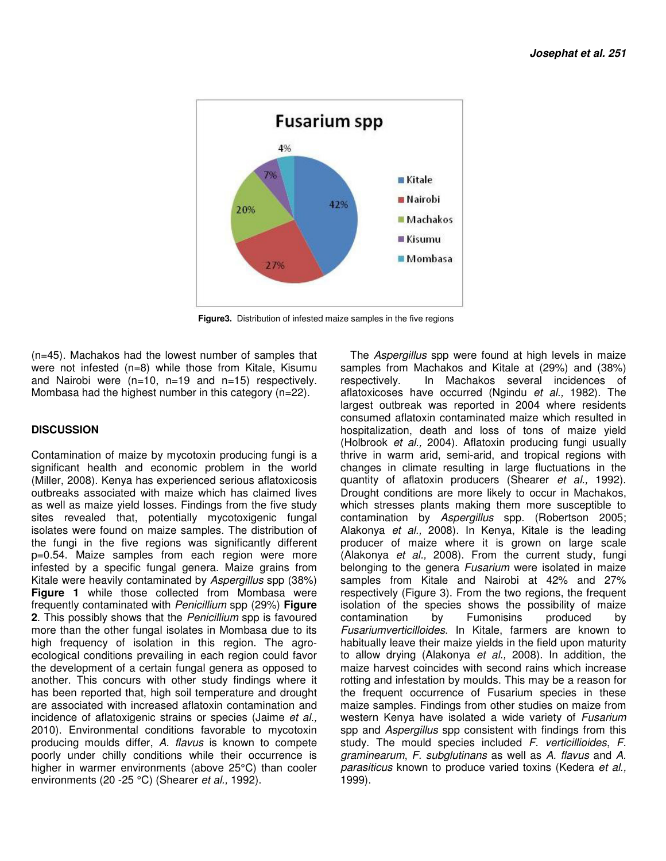

 **Figure3.** Distribution of infested maize samples in the five regions

(n=45). Machakos had the lowest number of samples that were not infested (n=8) while those from Kitale, Kisumu and Nairobi were (n=10, n=19 and n=15) respectively. Mombasa had the highest number in this category (n=22).

### **DISCUSSION**

Contamination of maize by mycotoxin producing fungi is a significant health and economic problem in the world (Miller, 2008). Kenya has experienced serious aflatoxicosis outbreaks associated with maize which has claimed lives as well as maize yield losses. Findings from the five study sites revealed that, potentially mycotoxigenic fungal isolates were found on maize samples. The distribution of the fungi in the five regions was significantly different p=0.54. Maize samples from each region were more infested by a specific fungal genera. Maize grains from Kitale were heavily contaminated by Aspergillus spp (38%) **Figure 1** while those collected from Mombasa were frequently contaminated with Penicillium spp (29%) **Figure 2**. This possibly shows that the Penicillium spp is favoured more than the other fungal isolates in Mombasa due to its high frequency of isolation in this region. The agroecological conditions prevailing in each region could favor the development of a certain fungal genera as opposed to another. This concurs with other study findings where it has been reported that, high soil temperature and drought are associated with increased aflatoxin contamination and incidence of aflatoxigenic strains or species (Jaime et al., 2010). Environmental conditions favorable to mycotoxin producing moulds differ, A. flavus is known to compete poorly under chilly conditions while their occurrence is higher in warmer environments (above 25°C) than cooler environments (20 - 25 °C) (Shearer et al., 1992).

The *Aspergillus* spp were found at high levels in maize samples from Machakos and Kitale at (29%) and (38%) respectively. In Machakos several incidences of aflatoxicoses have occurred (Ngindu et al., 1982). The largest outbreak was reported in 2004 where residents consumed aflatoxin contaminated maize which resulted in hospitalization, death and loss of tons of maize yield (Holbrook et al., 2004). Aflatoxin producing fungi usually thrive in warm arid, semi-arid, and tropical regions with changes in climate resulting in large fluctuations in the quantity of aflatoxin producers (Shearer et al., 1992). Drought conditions are more likely to occur in Machakos, which stresses plants making them more susceptible to contamination by Aspergillus spp. (Robertson 2005; Alakonya et al., 2008). In Kenya, Kitale is the leading producer of maize where it is grown on large scale (Alakonya et al., 2008). From the current study, fungi belonging to the genera Fusarium were isolated in maize samples from Kitale and Nairobi at 42% and 27% respectively (Figure 3). From the two regions, the frequent isolation of the species shows the possibility of maize contamination by Fumonisins produced by Fusariumverticilloides. In Kitale, farmers are known to habitually leave their maize yields in the field upon maturity to allow drying (Alakonya et al., 2008). In addition, the maize harvest coincides with second rains which increase rotting and infestation by moulds. This may be a reason for the frequent occurrence of Fusarium species in these maize samples. Findings from other studies on maize from western Kenya have isolated a wide variety of Fusarium spp and Aspergillus spp consistent with findings from this study. The mould species included F. verticillioides, F. graminearum, F. subglutinans as well as A. flavus and A. parasiticus known to produce varied toxins (Kedera et al., 1999).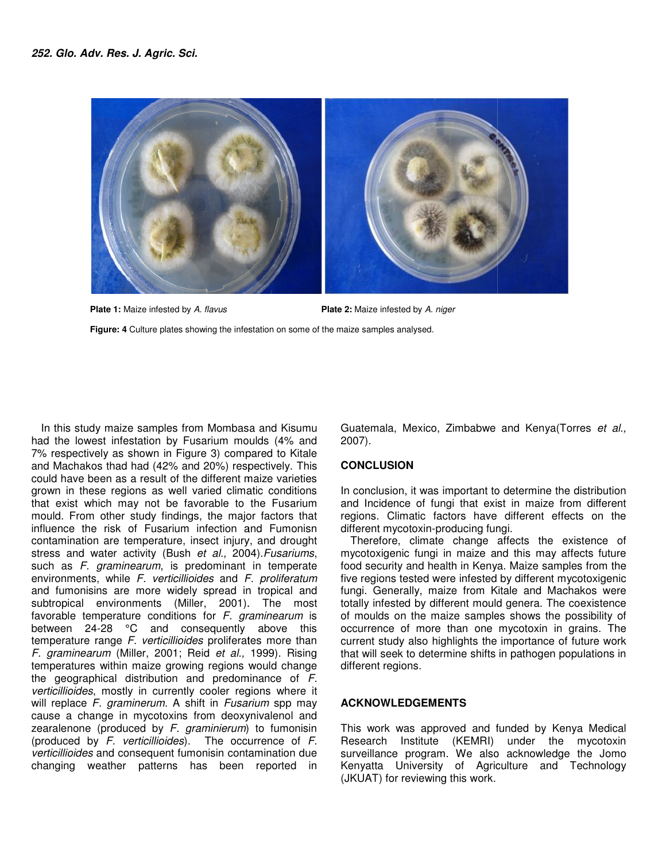

Plate 1: Maize infested by A. flavus **Figure: 4** Culture plates showing the infestation on some of the maize samples analysed. Plate 2: Maize infested by A. niger

In this study maize samples from Mombasa and Kisumu had the lowest infestation by Fusarium moulds (4% and 7% respectively as shown in Figure 3) compared to Kitale In this study maize samples from Mombasa and Kisumu<br>had the lowest infestation by Fusarium moulds (4% and<br>7% respectively as shown in Figure 3) compared to Kitale<br>and Machakos thad had (42% and 20%) respectively. This could have been as a result of the different maize varieties grown in these regions as well varied climatic conditions that exist which may not be favorable to the Fusarium mould. From other study findings, the major factors that influence the risk of Fusarium infection and Fumonisn contamination are temperature, insect injury, stress and water activity (Bush et al., 2004). Fusariums, such as F. graminearum, is predominant in temperate environments, while F. verticillioides and F. proliferatum and fumonisins are more widely spread in tropical and and fumonisins are more widely spread in tropical and<br>subtropical environments (Miller, 2001). The most favorable temperature conditions for F. graminearum is between 24-28 °C and consequently above this temperature range F. verticillioides proliferates more than F. graminearum (Miller, 2001; Reid et al., 1999). Rising temperatures within maize growing regions would change the geographical distribution and predominance of F. verticillioides, mostly in currently cooler regions where it verticillioides, mostly in currently cooler regions where it<br>will replace F. graminerum. A shift in Fusarium spp may cause a change in mycotoxins from deoxynivalenol and zearalenone (produced by F. graminierum) to fumonisin (produced by  $F$ . verticillioides). The occurrence of  $F$ . verticillioides and consequent fumonisin contamination due changing weather patterns has been reported in I have been as a result of the different maize varieties<br>n in these regions as well varied climatic conditions<br>exist which may not be favorable to the Fusarium<br>d. From other study findings, the major factors that<br>nnce the 28 °C and consequently above this<br>ange *F. verticillioides* proliferates more than<br>*im* (Miller, 2001; Reid *et al.,* 1999). Rising deoxynivalenol and<br>*erum*) to fumonisin<br>؛ occurrence of *F*. 2007). Guatemala, Mexico, Zimbabwe and Kenya(Torres et al.,

### **CONCLUSION**

In conclusion, it was important to determine the distribution and Incidence of fungi that exist in maize from different and Incidence of fungi that exist in maize from different<br>regions. Climatic factors have different effects on the different mycotoxin-producing fungi producing fungi.

and Kisumu<br>
Guatemala, Mexico, Zimbabwe and Kenya<br>
dids (4% and<br>
dred to Kitale<br>
erd to Kitale<br>
erd to Kitale<br>
erd to Kitale<br>
inconculsion, it was important to determine increase<br>
freq Guarditions<br>
in conclusion, it was i Therefore, climate change affects the existence of Therefore, climate change affects the existence of mycotoxigenic fungi in maize and this may affects future food security and health in Kenya. Maize samples from the five regions tested were infested by different mycotoxigenic five regions tested were infested by different mycotoxigenic<br>fungi. Generally, maize from Kitale and Machakos were totally infested by different mould genera. The coexistence of moulds on the maize samples shows the possibility of occurrence of more than one mycotoxin in grains. The current study also highlights the importance of future work that will seek to determine shifts in pathogen populations in different regions. of moulds on the maize samples shows the possibility of<br>occurrence of more than one mycotoxin in grains. The<br>current study also highlights the importance of future work<br>that will seek to determine shifts in pathogen popula

#### **ACKNOWLEDGEMENTS**

This work was approved and funded by Kenya Medical Research Institute (KEMRI) under the mycotoxin surveillance program. We also acknowledge the Jomo surveillance program. We also acknowledge the Jomo<br>Kenyatta University of Agriculture and Technology (JKUAT) for reviewing this work.